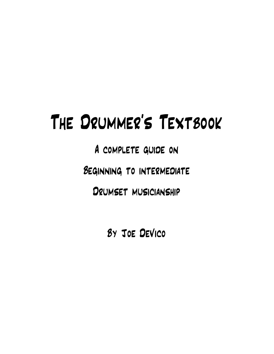# The Drummer's Textbook

A complete guide on

Beginning to intermediate

Drumset musicianship

By Joe DeVico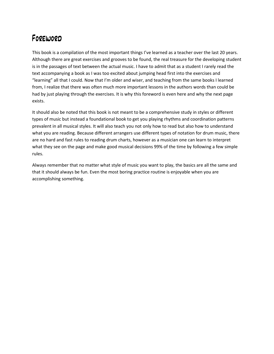### Foreword

This book is a compilation of the most important things I've learned as a teacher over the last 20 years. Although there are great exercises and grooves to be found, the real treasure for the developing student is in the passages of text between the actual music. I have to admit that as a student I rarely read the text accompanying a book as I was too excited about jumping head first into the exercises and "learning" all that I could. Now that I'm older and wiser, and teaching from the same books I learned from, I realize that there was often much more important lessons in the authors words than could be had by just playing through the exercises. It is why this foreword is even here and why the next page exists.

It should also be noted that this book is not meant to be a comprehensive study in styles or different types of music but instead a foundational book to get you playing rhythms and coordination patterns prevalent in all musical styles. It will also teach you not only how to read but also how to understand what you are reading. Because different arrangers use different types of notation for drum music, there are no hard and fast rules to reading drum charts, however as a musician one can learn to interpret what they see on the page and make good musical decisions 99% of the time by following a few simple rules.

Always remember that no matter what style of music you want to play, the basics are all the same and that it should always be fun. Even the most boring practice routine is enjoyable when you are accomplishing something.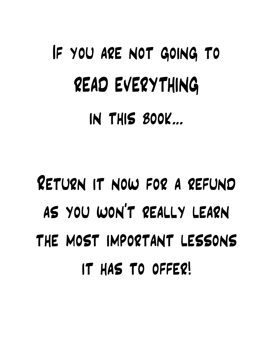# If you are not going to READ EVERYTHING in this book…

# Return it now for a refund as you won't really learn the most important lessons it has to offer!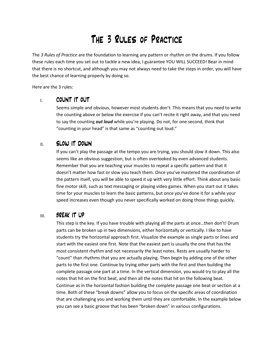## The 3 Rules of Practice

The 3 Rules of Practice are the foundation to learning any pattern or rhythm on the drums. If you follow these rules each time you set out to tackle a new idea, I guarantee YOU WILL SUCCEED! Bear in mind that there is no shortcut, and although you may not always need to take the steps in order, you will have the best chance of learning properly by doing so.

Here are the 3 rules:

#### I. COUNT IT OUT

Seems simple and obvious, however most students don't. This means that you need to write the counting above or below the exercise if you can't recite it right away, and that you need to say the counting *out loud* while you're playing. Do not, for one second, think that "counting in your head" is that same as "counting out loud."

#### II. SLOW IT DOWN

If you can't play the passage at the tempo you are trying, you should slow it down. This also seems like an obvious suggestion, but is often overlooked by even advanced students. Remember that you are teaching your muscles to repeat a specific pattern and that it doesn't matter how fast or slow you teach them. Once you've mastered the coordination of the pattern itself, you will be able to speed it up with very little effort. Think about any basic fine motor skill, such as text messaging or playing video games. When you start out it takes time for your muscles to learn the basic patterns, but once you've done it for a while your speed increases even though you never specifically worked on doing those things quickly.

#### III. BREAK IT UP

This step is the key. If you have trouble with playing all the parts at once…then don't! Drum parts can be broken up in two dimensions, either horizontally or vertically. I like to have students try the horizontal approach first. Visualize the example as single parts or lines and start with the easiest one first. Note that the easiest part is usually the one that has the most consistent rhythm and not necessarily the least notes. Rests are usually harder to "count" than rhythms that you are actually playing. Then begin by adding one of the other parts to the first one. Continue by trying other parts with the first and then building the complete passage one part at a time. In the vertical dimension, you would try to play all the notes that hit on the first beat, and then all the notes that hit on the following beat. Continue as in the horizontal fashion building the complete passage one beat or section at a time. Both of these "break downs" allow you to focus on the specific areas of coordination that are challenging you and working them until they are comfortable. In the example below you can see a basic groove that has been "broken down" in various configurations.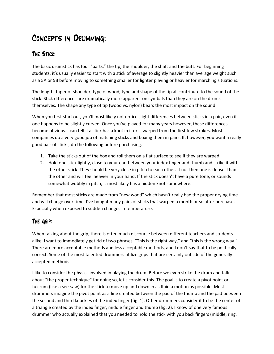### Concepts in Drumming:

#### The Stick:

The basic drumstick has four "parts," the tip, the shoulder, the shaft and the butt. For beginning students, it's usually easier to start with a stick of average to slightly heavier than average weight such as a 5A or 5B before moving to something smaller for lighter playing or heavier for marching situations.

The length, taper of shoulder, type of wood, type and shape of the tip all contribute to the sound of the stick. Stick differences are dramatically more apparent on cymbals than they are on the drums themselves. The shape any type of tip (wood vs. nylon) bears the most impact on the sound.

When you first start out, you'll most likely not notice slight differences between sticks in a pair, even if one happens to be slightly curved. Once you've played for many years however, these differences become obvious. I can tell if a stick has a knot in it or is warped from the first few strokes. Most companies do a very good job of matching sticks and boxing them in pairs. If, however, you want a really good pair of sticks, do the following before purchasing.

- 1. Take the sticks out of the box and roll them on a flat surface to see if they are warped
- 2. Hold one stick lightly, close to your ear, between your index finger and thumb and strike it with the other stick. They should be very close in pitch to each other. If not then one is denser than the other and will feel heavier in your hand. If the stick doesn't have a pure tone, or sounds somewhat wobbly in pitch, it most likely has a hidden knot somewhere.

Remember that most sticks are made from "new wood" which hasn't really had the proper drying time and will change over time. I've bought many pairs of sticks that warped a month or so after purchase. Especially when exposed to sudden changes in temperature.

#### The grip:

When talking about the grip, there is often much discourse between different teachers and students alike. I want to immediately get rid of two phrases. "This is the right way," and "this is the wrong way." There are more acceptable methods and less acceptable methods, and I don't say that to be politically correct. Some of the most talented drummers utilize grips that are certainly outside of the generally accepted methods.

I like to consider the physics involved in playing the drum. Before we even strike the drum and talk about "the proper technique" for doing so, let's consider this. The goal is to create a pivot point or fulcrum (like a see-saw) for the stick to move up and down in as fluid a motion as possible. Most drummers imagine the pivot point as a line created between the pad of the thumb and the pad between the second and third knuckles of the index finger (fig. 1). Other drummers consider it to be the center of a triangle created by the index finger, middle finger and thumb (fig. 2). I know of one very famous drummer who actually explained that you needed to hold the stick with you back fingers (middle, ring,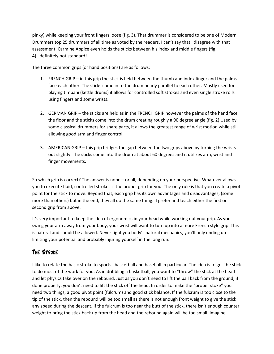pinky) while keeping your front fingers loose (fig. 3). That drummer is considered to be one of Modern Drummers top 25 drummers of all time as voted by the readers. I can't say that I disagree with that assessment. Carmine Appice even holds the sticks between his index and middle fingers (fig. 4)…definitely not standard!

The three common grips (or hand positions) are as follows:

- 1. FRENCH GRIP in this grip the stick is held between the thumb and index finger and the palms face each other. The sticks come in to the drum nearly parallel to each other. Mostly used for playing timpani (kettle drums) it allows for controlled soft strokes and even single stroke rolls using fingers and some wrists.
- 2. GERMAN GRIP the sticks are held as in the FRENCH GRIP however the palms of the hand face the floor and the sticks come into the drum creating roughly a 90 degree angle (fig. 2) Used by some classical drummers for snare parts, it allows the greatest range of wrist motion while still allowing good arm and finger control.
- 3. AMERICAN GRIP this grip bridges the gap between the two grips above by turning the wrists out slightly. The sticks come into the drum at about 60 degrees and it utilizes arm, wrist and finger movements.

So which grip is correct? The answer is none – or all, depending on your perspective. Whatever allows you to execute fluid, controlled strokes is the proper grip for you. The only rule is that you create a pivot point for the stick to move. Beyond that, each grip has its own advantages and disadvantages, (some more than others) but in the end, they all do the same thing. I prefer and teach either the first or second grip from above.

It's very important to keep the idea of ergonomics in your head while working out your grip. As you swing your arm away from your body, your wrist will want to turn up into a more French style grip. This is natural and should be allowed. Never fight you body's natural mechanics, you'll only ending up limiting your potential and probably injuring yourself in the long run.

#### The Stroke

I like to relate the basic stroke to sports…basketball and baseball in particular. The idea is to get the stick to do most of the work for you. As in dribbling a basketball, you want to "throw" the stick at the head and let physics take over on the rebound. Just as you don't need to lift the ball back from the ground, if done properly, you don't need to lift the stick off the head. In order to make the "proper stoke" you need two things; a good pivot point (fulcrum) and good stick balance. If the fulcrum is too close to the tip of the stick, then the rebound will be too small as there is not enough front weight to give the stick any speed during the descent. If the fulcrum is too near the butt of the stick, there isn't enough counter weight to bring the stick back up from the head and the rebound again will be too small. Imagine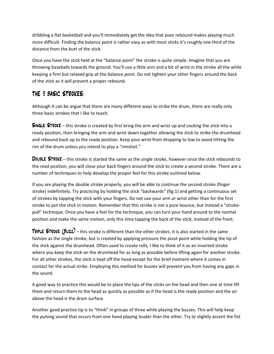dribbling a flat basketball and you'll immediately get the idea that poor rebound makes playing much more difficult. Finding the balance point is rather easy as with most sticks it's roughly one third of the distance from the butt of the stick.

Once you have the stick held at the "balance point" the stroke is quite simple. Imagine that you are throwing baseballs towards the ground. You'll use a little arm and a bit of wrist in the stroke all the while keeping a firm but relaxed grip at the balance point. Do not tighten your other fingers around the back of the stick as it will prevent a proper rebound.

#### THE 3 BASIC STROKES:

Although it can be argue that there are many different ways to strike the drum, there are really only three basic strokes that I like to teach.

**SINGLE STROKE** – this stroke is created by first bring the arm and wrist up and cocking the stick into a ready position, then bringing the arm and wrist down together allowing the stick to strike the drumhead and rebound back up to the ready position. Keep your wrist from dropping to low to avoid hitting the rim of the drum unless you intend to play a "rimshot."

DOUBLE STROKE – this stroke is started the same as the single stroke, however once the stick rebounds to the read position, you will close your back fingers around the stick to create a second stroke. There are a number of techniques to help develop the proper feel for this stroke outlined below.

If you are playing the double stroke properly, you will be able to continue the second stroke (finger stroke) indefinitely. Try practicing by holding the stick "backwards" (fig.1) and getting a continuous set of strokes by tapping the stick with your fingers. Do not use your arm or wrist other than for the first stroke to put the stick in motion. Remember that this stroke is not a pure bounce, but instead a "strokepull" technique. Once you have a feel for the technique, you can turn your hand around to the normal position and make the same motion, only this time tapping the back of the stick, instead of the front.

**TRIPLE STROKE (BUZZ)** – this stroke is different than the other strokes. It is also started in the same fashion as the single stroke, but is created by applying pressure the pivot point while holding the tip of the stick against the drumhead. Often used to create rolls, I like to think of it as an inverted stroke where you keep the stick on the drumhead for as long as possible before lifting again for another stroke. For all other strokes, the stick is kept off the head except for the brief moment where it comes in contact for the actual strike. Employing this method for buzzes will prevent you from having any gaps in the sound.

A good way to practice this would be to place the tips of the sticks on the head and then one at time lift them and return them to the head as quickly as possible as if the head is the ready position and the air above the head is the drum surface.

Another good practice tip is to "think" in groups of three while playing the buzzes. This will help keep the pulsing sound that occurs from one hand playing louder than the other. Try to slightly accent the fist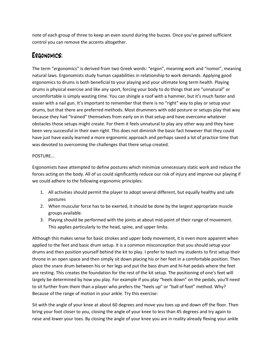note of each group of three to keep an even sound during the buzzes. Once you've gained sufficient control you can remove the accents altogether.

#### Ergonomics:

The term "ergonomics" is derived from two Greek words: "ergon", meaning work and "nomoi", meaning natural laws. Ergonomists study human capabilities in relationship to work demands. Applying good ergonomics to drums is both beneficial to your playing and your ultimate long term health. Playing drums is physical exercise and like any sport, forcing your body to do things that are "unnatural" or uncomfortable is simply wasting time. You can shingle a roof with a hammer, but it's much faster and easier with a nail gun. It's important to remember that there is no "right" way to play or setup your drums, but that there are preferred methods. Most drummers with odd posture or setups play that way because they had "trained" themselves from early on in that setup and have overcome whatever obstacles those setups might create. For them it feels unnatural to play any other way and they have been very successful in their own right. This does not diminish the basic fact however that they could have just have easily learned a more ergonomic approach and perhaps saved a lot of practice time that was devoted to overcoming the challenges that there setup created.

#### POSTURE...

Ergonomists have attempted to define postures which minimize unnecessary static work and reduce the forces acting on the body. All of us could significantly reduce our risk of injury and improve our playing if we could adhere to the following ergonomic principles:

- 1. All activities should permit the player to adopt several different, but equally healthy and safe postures
- 2. When muscular force has to be exerted, it should be done by the largest appropriate muscle groups available.
- 3. Playing should be performed with the joints at about mid-point of their range of movement. This applies particularly to the head, spine, and upper limbs.

Although this makes sense for basic strokes and upper body movement, it is even more apparent when applied to the feet and basic drum setup. It is a common misconception that you should setup your drums and then position yourself behind the kit to play. I prefer to teach my students to first setup their throne in an open space and then simply sit down placing his or her feet in a comfortable position. Then place the snare drum between his or her legs and put the bass drum and hi-hat pedals where the feet are resting. This creates the foundation for the rest of the kit setup. The positioning of one's feet will largely be determined by how you play. For example if you play "heels down" on the pedals, you'll need to sit further from them than a player who prefers the "heels up" or "ball of foot" method. Why? Because of the range of motion in your ankle. Try this exercise:

Sit with the angle of your knee at about 60 degrees and move you toes up and down off the floor. Then bring your foot closer to you, closing the angle of your knee to less than 45 degrees and try again to raise and lower your toes. By closing the angle of your knee you are in reality already flexing your ankle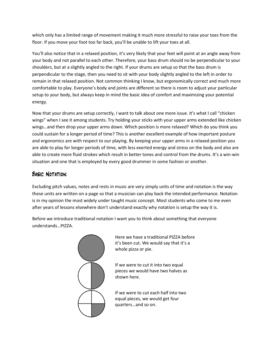which only has a limited range of movement making it much more stressful to raise your toes from the floor. If you move your foot too far back, you'll be unable to lift your toes at all.

You'll also notice that in a relaxed position, it's very likely that your feet will point at an angle away from your body and not parallel to each other. Therefore, your bass drum should no be perpendicular to your shoulders, but at a slightly angled to the right. If your drums are setup so that the bass drum is perpendicular to the stage, then you need to sit with your body slightly angled to the left in order to remain in that relaxed position. Not common thinking I know, but ergonomically correct and much more comfortable to play. Everyone's body and joints are different so there is room to adjust your particular setup to your body, but always keep in mind the basic idea of comfort and maximizing your potential energy.

Now that your drums are setup correctly, I want to talk about one more issue. It's what I call "chicken wings" when I see it among students. Try holding your sticks with your upper arms extended like chicken wings…and then drop your upper arms down. Which position is more relaxed? Which do you think you could sustain for a longer period of time? This is another excellent example of how important posture and ergonomics are with respect to our playing. By keeping your upper arms in a relaxed position you are able to play for longer periods of time, with less exerted energy and stress on the body and also are able to create more fluid strokes which result in better tones and control from the drums. It's a win-win situation and one that is employed by every good drummer in some fashion or another.

#### Basic Notation:

Excluding pitch values, notes and rests in music are very simply units of time and notation is the way these units are written on a page so that a musician can play back the intended performance. Notation is in my opinion the most widely under taught music concept. Most students who come to me even after years of lessons elsewhere don't understand exactly why notation is setup the way it is.

Before we introduce traditional notation I want you to think about something that everyone understands…PIZZA.



Here we have a traditional PIZZA before it's been cut. We would say that it's a whole pizza or pie.

If we were to cut it into two equal pieces we would have two halves as shown here.

If we were to cut each half into two equal pieces, we would get four quarters…and so on.